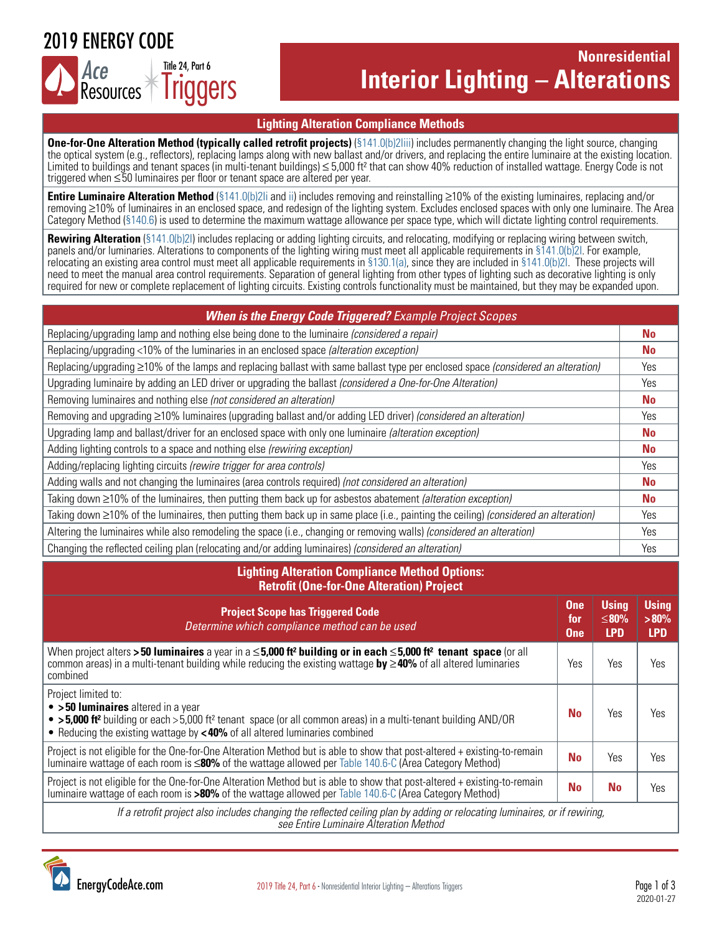## 2019 ENERGY CODE



## **Nonresidential Interior Lighting – Alterations**

#### **Lighting Alteration Compliance Methods**

**One-for-One Alteration Method (typically called retrofit projects)** (§141.0(b)2liii) includes permanently changing the light source, changing the optical system (e.g., reflectors), replacing lamps along with new ballast and/or drivers, and replacing the entire luminaire at the existing location. Limited to buildings and tenant spaces (in multi-tenant buildings) ≤ 5,000 ft² that can show 40% reduction of installed wattage. Energy Code is not triggered when ≤50 luminaires per floor or tenant space are altered per year.

**Entire Luminaire Alteration Method** ([§141.0\(b\)2Ii and ii](https://energycodeace.com/site/custom/public/reference-ace-2019/Documents/section1410additionsalterationsandrepairstoexistingnonresidentia1.htm)) includes removing and reinstalling ≥10% of the existing luminaires, replacing and/or removing ≥10% of luminaires in an enclosed space, and redesign of the lighting system. Excludes enclosed spaces with only one luminaire. The Area Category Method ([§140.6\)](https://energycodeace.com/site/custom/public/reference-ace-2019/Documents/section1406prescriptiverequirementsforindoorlighting.htm) is used to determine the maximum wattage allowance per space type, which will dictate lighting control requirements.

**Rewiring Alteration** ([§141.0\(b\)2I](https://energycodeace.com/site/custom/public/reference-ace-2019/Documents/section1410additionsalterationsandrepairstoexistingnonresidentia1.htm)) includes replacing or adding lighting circuits, and relocating, modifying or replacing wiring between switch, panels and/or luminaries. Alterations to components of the lighting wiring must meet all applicable requirements in [§141.0\(b\)2I.](https://energycodeace.com/site/custom/public/reference-ace-2019/Documents/section1410additionsalterationsandrepairstoexistingnonresidentia1.htm) For example, relocating an existing area control must meet all applicable requirements in [§130.1\(a\),](https://energycodeace.com/site/custom/public/reference-ace-2019/Documents/section1301mandatoryindoorlightingcontrols.htm) since they are included in [§141.0\(b\)2I.](https://energycodeace.com/site/custom/public/reference-ace-2019/Documents/section1410additionsalterationsandrepairstoexistingnonresidentia1.htm) These projects will need to meet the manual area control requirements. Separation of general lighting from other types of lighting such as decorative lighting is only required for new or complete replacement of lighting circuits. Existing controls functionality must be maintained, but they may be expanded upon.

| <b>When is the Energy Code Triggered?</b> Example Project Scopes                                                                    |           |
|-------------------------------------------------------------------------------------------------------------------------------------|-----------|
| Replacing/upgrading lamp and nothing else being done to the luminaire (considered a repair)                                         | No        |
| Replacing/upgrading <10% of the luminaries in an enclosed space (alteration exception)                                              | <b>No</b> |
| Replacing/upgrading ≥10% of the lamps and replacing ballast with same ballast type per enclosed space (considered an alteration)    | Yes       |
| Upgrading luminaire by adding an LED driver or upgrading the ballast (considered a One-for-One Alteration)                          | Yes       |
| Removing luminaires and nothing else (not considered an alteration)                                                                 | <b>No</b> |
| Removing and upgrading $\geq$ 10% luminaires (upgrading ballast and/or adding LED driver) (considered an alteration)                | Yes       |
| Upgrading lamp and ballast/driver for an enclosed space with only one luminaire (alteration exception)                              | <b>No</b> |
| Adding lighting controls to a space and nothing else (rewiring exception)                                                           | <b>No</b> |
| Adding/replacing lighting circuits (rewire trigger for area controls)                                                               | Yes.      |
| Adding walls and not changing the luminaires (area controls required) (not considered an alteration)                                | No        |
| Taking down ≥10% of the luminaires, then putting them back up for asbestos abatement (alteration exception)                         | <b>No</b> |
| Taking down ≥10% of the luminaires, then putting them back up in same place (i.e., painting the ceiling) (considered an alteration) | Yes       |
| Altering the luminaires while also remodeling the space (i.e., changing or removing walls) (considered an alteration)               | Yes       |
| Changing the reflected ceiling plan (relocating and/or adding luminaires) (considered an alteration)                                | Yes       |

| <b>Lighting Alteration Compliance Method Options:</b><br><b>Retrofit (One-for-One Alteration) Project</b>                                                                                                                                                                                   |                                 |                                    |                                       |  |  |
|---------------------------------------------------------------------------------------------------------------------------------------------------------------------------------------------------------------------------------------------------------------------------------------------|---------------------------------|------------------------------------|---------------------------------------|--|--|
| <b>Project Scope has Triggered Code</b><br>Determine which compliance method can be used                                                                                                                                                                                                    | <b>One</b><br>for<br><b>One</b> | <b>Using</b><br>≤80%<br><b>LPD</b> | <b>Using</b><br>$>80\%$<br><b>LPD</b> |  |  |
| When project alters > 50 luminaires a year in a $\leq$ 5,000 ft <sup>2</sup> building or in each $\leq$ 5,000 ft <sup>2</sup> tenant space (or all<br>common areas) in a multi-tenant building while reducing the existing wattage by $\geq$ 40% of all altered luminaries<br>combined      | Yes                             | Yes                                | Yes                                   |  |  |
| Project limited to:<br>$\bullet$ > 50 luminaires altered in a year<br>• > 5,000 ft <sup>2</sup> building or each > 5,000 ft <sup>2</sup> tenant space (or all common areas) in a multi-tenant building AND/OR<br>• Reducing the existing wattage by <40% of all altered luminaries combined | No                              | Yes                                | Yes                                   |  |  |
| Project is not eligible for the One-for-One Alteration Method but is able to show that post-altered + existing-to-remain<br>luminaire wattage of each room is $\leq$ 80% of the wattage allowed per Table 140.6-C (Area Category Method)                                                    | No                              | Yes                                | Yes                                   |  |  |
| Project is not eligible for the One-for-One Alteration Method but is able to show that post-altered + existing-to-remain<br>luminaire wattage of each room is >80% of the wattage allowed per Table 140.6-C (Area Category Method)                                                          | No                              | No                                 | Yes                                   |  |  |
| If a retrofit project also includes changing the reflected ceiling plan by adding or relocating luminaires, or if rewiring,<br>see Entire Luminaire Alteration Method                                                                                                                       |                                 |                                    |                                       |  |  |

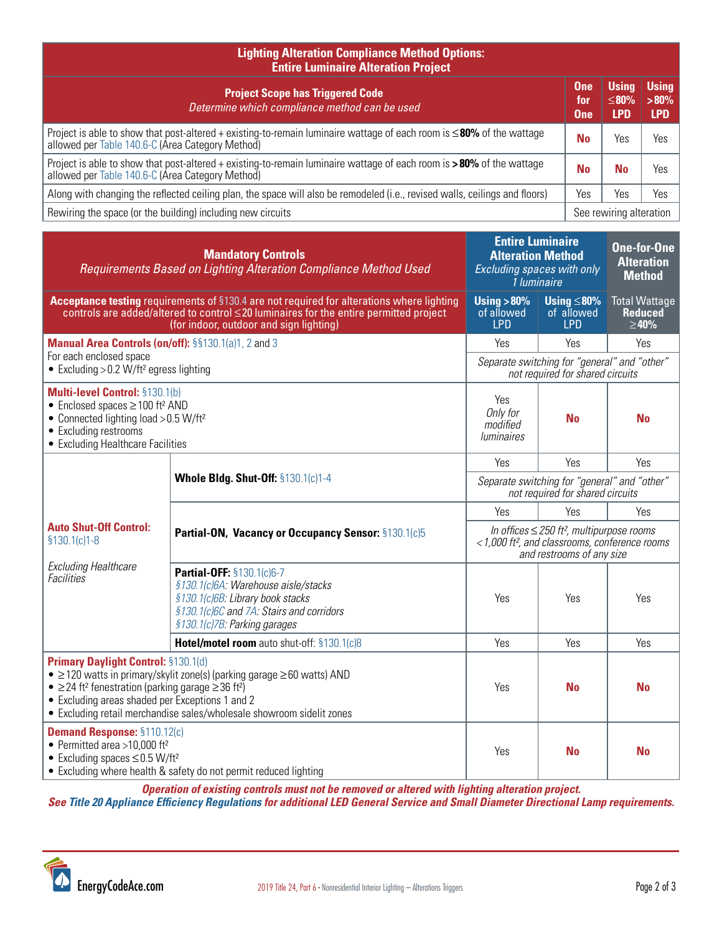| <b>Lighting Alteration Compliance Method Options:</b><br><b>Entire Luminaire Alteration Project</b>                                                                            |                                 |                                    |                                       |  |  |
|--------------------------------------------------------------------------------------------------------------------------------------------------------------------------------|---------------------------------|------------------------------------|---------------------------------------|--|--|
| <b>Project Scope has Triggered Code</b><br>Determine which compliance method can be used                                                                                       | <b>One</b><br>for<br><b>One</b> | <b>Using</b><br>≤80%<br><b>LPD</b> | <b>Using</b><br>$>80\%$<br><b>LPD</b> |  |  |
| Project is able to show that post-altered + existing-to-remain luminaire wattage of each room is $\leq$ 80% of the wattage<br>allowed per Table 140.6-C (Area Category Method) | <b>No</b>                       | Yes                                | Yes                                   |  |  |
| Project is able to show that post-altered + existing-to-remain luminaire wattage of each room is $>80\%$ of the wattage<br>allowed per Table 140.6-C (Area Category Method)    | <b>No</b>                       | No                                 | Yes                                   |  |  |
| Along with changing the reflected ceiling plan, the space will also be remodeled (i.e., revised walls, ceilings and floors)                                                    | Yes                             | Yes                                | Yes                                   |  |  |
| Rewiring the space (or the building) including new circuits                                                                                                                    |                                 | See rewiring alteration            |                                       |  |  |

| <b>Mandatory Controls</b><br>Requirements Based on Lighting Alteration Compliance Method Used                                                                                                                                                                                                                                                       |                                                                                                                                                                                  | <b>Entire Luminaire</b><br><b>Alteration Method</b><br>Excluding spaces with only<br>1 luminaire                                                     |                                              | <b>One-for-One</b><br><b>Alteration</b><br><b>Method</b> |
|-----------------------------------------------------------------------------------------------------------------------------------------------------------------------------------------------------------------------------------------------------------------------------------------------------------------------------------------------------|----------------------------------------------------------------------------------------------------------------------------------------------------------------------------------|------------------------------------------------------------------------------------------------------------------------------------------------------|----------------------------------------------|----------------------------------------------------------|
| Acceptance testing requirements of §130.4 are not required for alterations where lighting<br>controls are added/altered to control $\leq$ 20 luminaires for the entire permitted project<br>(for indoor, outdoor and sign lighting)                                                                                                                 |                                                                                                                                                                                  | Using $>80\%$<br>of allowed<br><b>LPD</b>                                                                                                            | Using $\leq$ 80%<br>of allowed<br><b>LPD</b> | <b>Total Wattage</b><br><b>Reduced</b><br>$\geq 40\%$    |
| Manual Area Controls (on/off): §§130.1(a)1, 2 and 3<br>For each enclosed space<br>• Excluding $>0.2$ W/ft <sup>2</sup> egress lighting                                                                                                                                                                                                              |                                                                                                                                                                                  | Yes                                                                                                                                                  | Yes                                          | Yes                                                      |
|                                                                                                                                                                                                                                                                                                                                                     |                                                                                                                                                                                  | Separate switching for "general" and "other"<br>not required for shared circuits                                                                     |                                              |                                                          |
| Multi-level Control: §130.1(b)<br>• Enclosed spaces $\geq$ 100 ft <sup>2</sup> AND<br>• Connected lighting load > 0.5 W/ft <sup>2</sup><br>• Excluding restrooms<br>• Excluding Healthcare Facilities                                                                                                                                               |                                                                                                                                                                                  | Yes<br>Only for<br>modified<br><i>luminaires</i>                                                                                                     | <b>No</b>                                    | <b>No</b>                                                |
|                                                                                                                                                                                                                                                                                                                                                     | <b>Whole Bldg. Shut-Off: §130.1(c)1-4</b>                                                                                                                                        | Yes                                                                                                                                                  | Yes                                          | Yes                                                      |
|                                                                                                                                                                                                                                                                                                                                                     |                                                                                                                                                                                  | Separate switching for "general" and "other"<br>not required for shared circuits                                                                     |                                              |                                                          |
|                                                                                                                                                                                                                                                                                                                                                     | Partial-ON, Vacancy or Occupancy Sensor: §130.1(c)5                                                                                                                              | Yes                                                                                                                                                  | Yes                                          | Yes                                                      |
| <b>Auto Shut-Off Control:</b><br>$$130.1(c)1-8$<br><b>Excluding Healthcare</b><br><b>Facilities</b>                                                                                                                                                                                                                                                 |                                                                                                                                                                                  | In offices $\leq$ 250 ft <sup>2</sup> , multipurpose rooms<br><1,000 ft <sup>2</sup> , and classrooms, conference rooms<br>and restrooms of any size |                                              |                                                          |
|                                                                                                                                                                                                                                                                                                                                                     | Partial-OFF: §130.1(c)6-7<br>§130.1(c)6A: Warehouse aisle/stacks<br>§130.1(c)6B: Library book stacks<br>§130.1(c)6C and 7A: Stairs and corridors<br>§130.1(c)7B: Parking garages | Yes                                                                                                                                                  | Yes                                          | Yes                                                      |
|                                                                                                                                                                                                                                                                                                                                                     | Hotel/motel room auto shut-off: §130.1(c)8                                                                                                                                       | Yes                                                                                                                                                  | Yes                                          | Yes                                                      |
| <b>Primary Daylight Control: §130.1(d)</b><br>• $\geq$ 120 watts in primary/skylit zone(s) (parking garage $\geq$ 60 watts) AND<br>• $\geq$ 24 ft <sup>2</sup> fenestration (parking garage $\geq$ 36 ft <sup>2</sup> )<br>• Excluding areas shaded per Exceptions 1 and 2<br>• Excluding retail merchandise sales/wholesale showroom sidelit zones |                                                                                                                                                                                  | Yes                                                                                                                                                  | <b>No</b>                                    | <b>No</b>                                                |
| <b>Demand Response: §110.12(c)</b><br>• Permitted area >10,000 ft <sup>2</sup><br>• Excluding spaces $\leq$ 0.5 W/ft <sup>2</sup><br>• Excluding where health & safety do not permit reduced lighting                                                                                                                                               |                                                                                                                                                                                  | Yes                                                                                                                                                  | <b>No</b>                                    | <b>No</b>                                                |

*Operation of existing controls must not be removed or altered with lighting alteration project.*

*See Title 20 [Appliance Efficiency Regulations](https://energycodeace.com/content/reference-ace-t20-tool) for additional LED General Service and Small Diameter Directional Lamp requirements.*